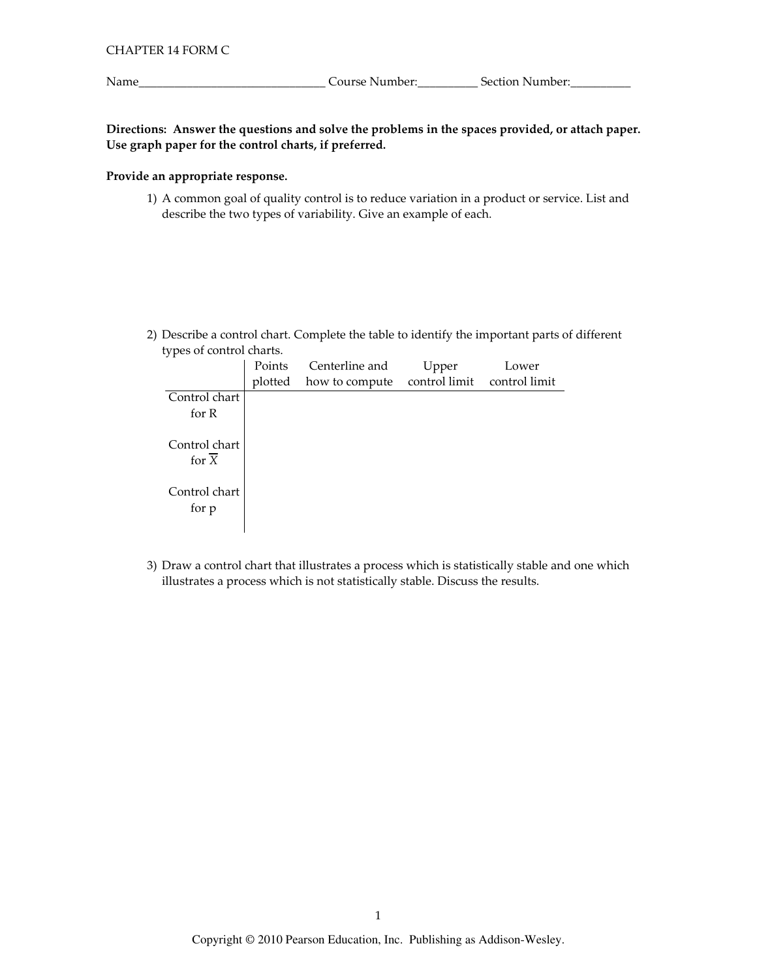\_\_\_\_\_\_\_\_\_\_\_\_\_\_\_\_\_\_\_\_\_\_\_\_\_\_\_\_\_\_\_\_\_Course Number:\_\_\_\_\_\_\_\_\_\_\_\_\_\_Section Number:\_\_\_\_\_\_\_\_\_\_\_

Directions: Answer the questions and solve the problems in the spaces provided, or attach paper. Use graph paper for the control charts, if preferred.

### Provide an appropriate response.

1) A common goal of quality control is to reduce variation in a product or service. List and describe the two types of variability. Give an example of each.

2) Describe a control chart. Complete the table to identify the important parts of different types of control charts.

| Points  | Centerline and | Upper | Lower                       |
|---------|----------------|-------|-----------------------------|
| plotted | how to compute |       |                             |
|         |                |       |                             |
|         |                |       |                             |
|         |                |       |                             |
|         |                |       |                             |
|         |                |       |                             |
|         |                |       |                             |
|         |                |       | control limit control limit |

3) Draw a control chart that illustrates a process which is statistically stable and one which illustrates a process which is not statistically stable. Discuss the results.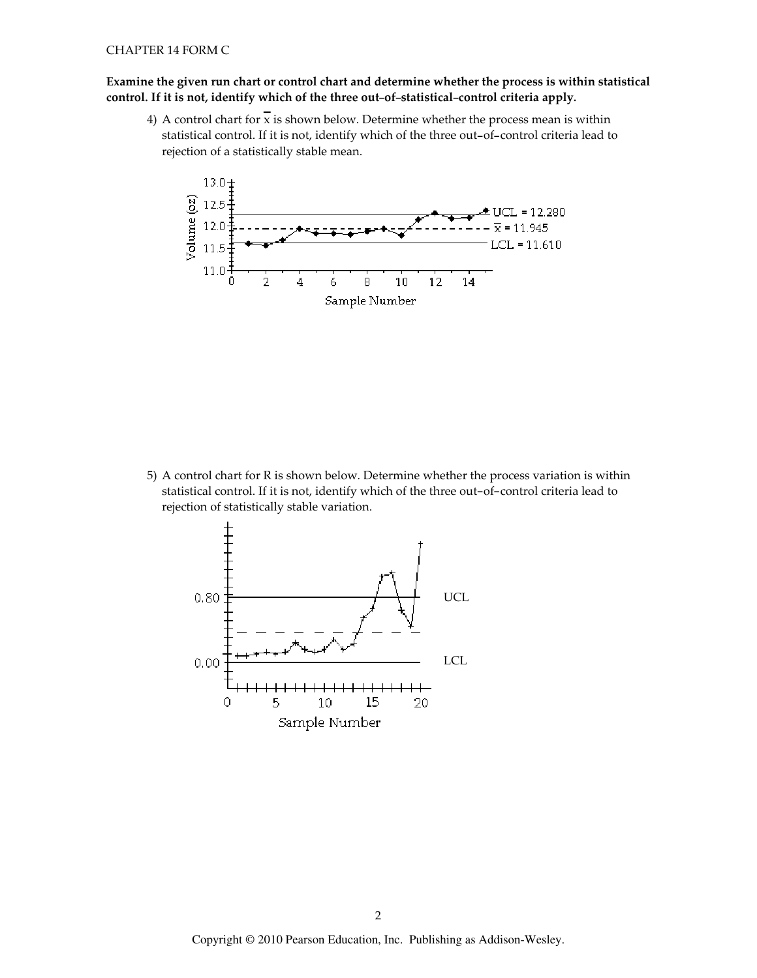## Examine the given run chart or control chart and determine whether the process is within statistical control. If it is not, identify which of the three out-of-statistical-control criteria apply.

4) A control chart for  $\bar{x}$  is shown below. Determine whether the process mean is within statistical control. If it is not, identify which of the three out-of-control criteria lead to rejection of a statistically stable mean.



5) A control chart for R is shown below. Determine whether the process variation is within statistical control. If it is not, identify which of the three out-of-control criteria lead to rejection of statistically stable variation.

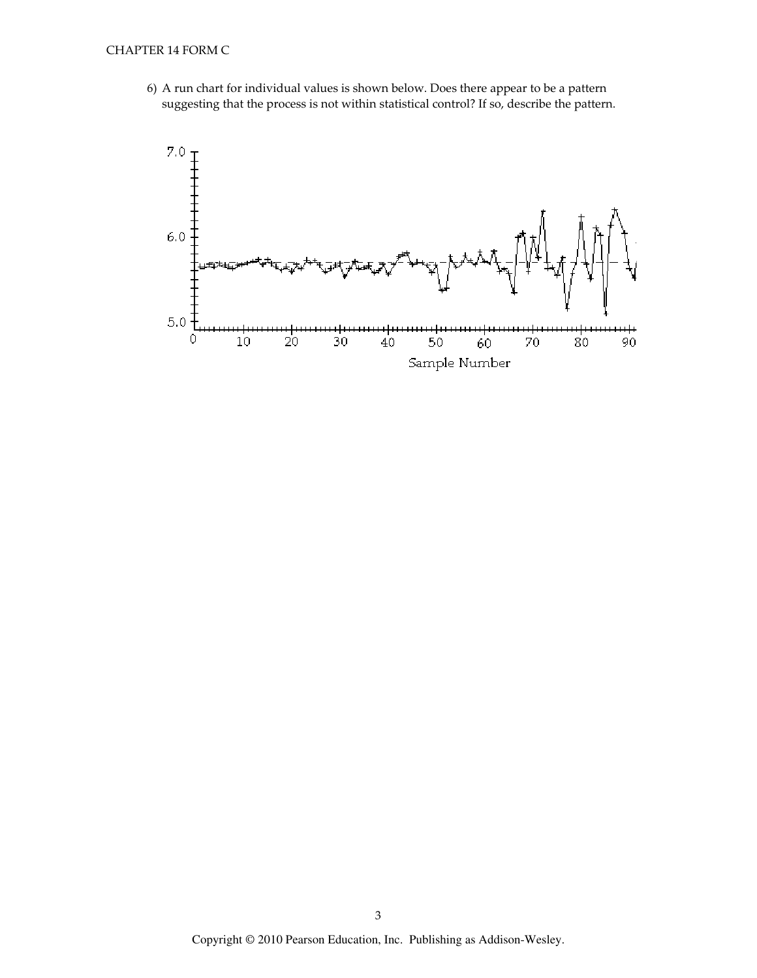6) A run chart for individual values is shown below. Does there appear to be a pattern suggesting that the process is not within statistical control? If so, describe the pattern.

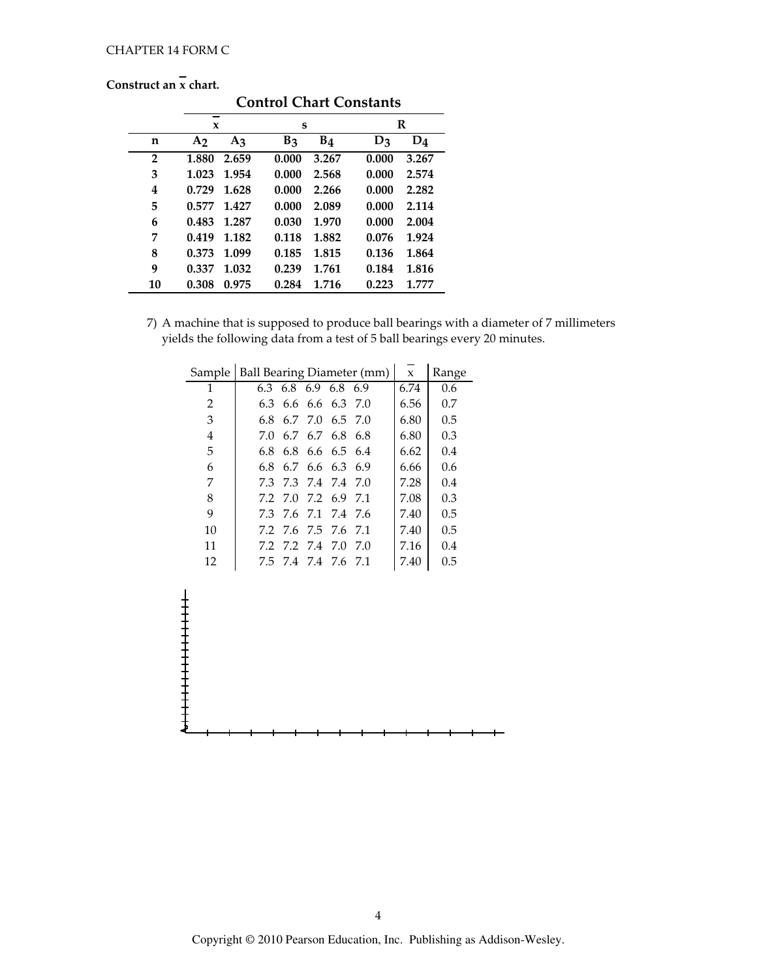Construct an  $\bar{x}$  chart.

|                | nou act an a chant.<br><b>Control Chart Constants</b> |                |       |                |       |       |  |
|----------------|-------------------------------------------------------|----------------|-------|----------------|-------|-------|--|
|                | --<br>X                                               |                | S     |                |       | R     |  |
| n              | A <sub>2</sub>                                        | A <sub>3</sub> | $B_3$ | B <sub>4</sub> | $D_3$ | $D_4$ |  |
| $\overline{2}$ | 1.880                                                 | 2.659          | 0.000 | 3.267          | 0.000 | 3.267 |  |
| 3              | 1.023                                                 | 1.954          | 0.000 | 2.568          | 0.000 | 2.574 |  |
| 4              | 0.729                                                 | 1.628          | 0.000 | 2.266          | 0.000 | 2.282 |  |
| 5              | 0.577                                                 | 1.427          | 0.000 | 2.089          | 0.000 | 2.114 |  |
| 6              | 0.483                                                 | 1.287          | 0.030 | 1.970          | 0.000 | 2.004 |  |
| 7              | 0.419                                                 | 1.182          | 0.118 | 1.882          | 0.076 | 1.924 |  |
| 8              | 0.373                                                 | 1.099          | 0.185 | 1.815          | 0.136 | 1.864 |  |
| 9              | 0.337                                                 | 1.032          | 0.239 | 1.761          | 0.184 | 1.816 |  |
| 10             | 0.308                                                 | 0.975          | 0.284 | 1.716          | 0.223 | 1.777 |  |

## 7) A machine that is supposed to produce ball bearings with a diameter of 7 millimeters yields the following data from a test of 5 ball bearings every 20 minutes.

| Sample | Ball Bearing Diameter (mm) |  |                     |  | $\mathbf{x}$ | Range |     |
|--------|----------------------------|--|---------------------|--|--------------|-------|-----|
| 1      |                            |  | 6.3 6.8 6.9 6.8 6.9 |  |              | 6.74  | 0.6 |
| 2      |                            |  | 6.3 6.6 6.6 6.3 7.0 |  |              | 6.56  | 0.7 |
| 3      |                            |  | 6.8 6.7 7.0 6.5 7.0 |  |              | 6.80  | 0.5 |
| 4      | 7.0                        |  | 6.7 6.7 6.8         |  | -6.8         | 6.80  | 0.3 |
| 5      |                            |  | 6.8 6.8 6.6 6.5 6.4 |  |              | 6.62  | 0.4 |
| 6      |                            |  | 6.8 6.7 6.6 6.3 6.9 |  |              | 6.66  | 0.6 |
| 7      |                            |  | 73 73 74 74         |  | 7.0          | 7.28  | 0.4 |
| 8      |                            |  | 7.2 7.0 7.2 6.9     |  | 71           | 7.08  | 0.3 |
| 9      | 7.3                        |  | 76 71 74 76         |  |              | 7.40  | 0.5 |
| 10     |                            |  | 72 76 75 76 71      |  |              | 7.40  | 0.5 |
| 11     | 7.2                        |  | 7.2 7.4 7.0         |  | 7.0          | 7.16  | 0.4 |
| 12     |                            |  | 7.5 7.4 7.4 7.6 7.1 |  |              | 7.40  | 0.5 |

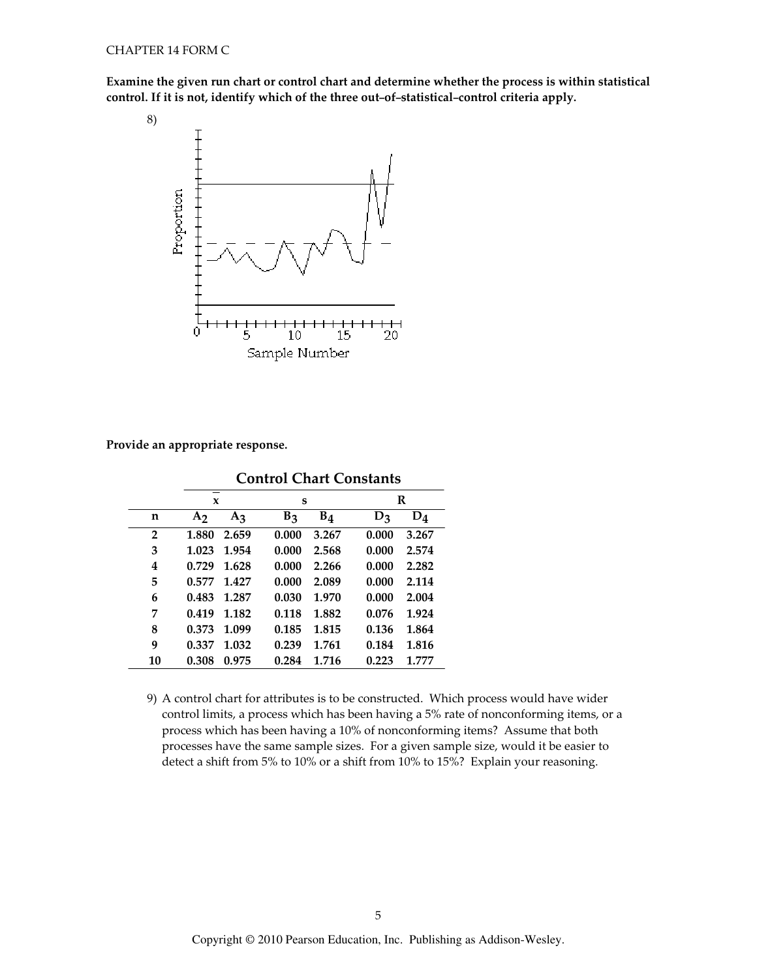Examine the given run chart or control chart and determine whether the process is within statistical control. If it is not, identify which of the three out-of-statistical-control criteria apply.



Provide an appropriate response.

|    | X              |                | S              |                |       | R     |  |
|----|----------------|----------------|----------------|----------------|-------|-------|--|
| n  | A <sub>2</sub> | A <sub>3</sub> | B <sub>3</sub> | B <sub>4</sub> | $D_3$ | $D_4$ |  |
| 2  | 1.880          | 2.659          | 0.000          | 3.267          | 0.000 | 3.267 |  |
| 3  | 1.023          | 1.954          | 0.000          | 2.568          | 0.000 | 2.574 |  |
| 4  | 0.729          | 1.628          | 0.000          | 2.266          | 0.000 | 2.282 |  |
| 5  | 0.577          | 1.427          | 0.000          | 2.089          | 0.000 | 2.114 |  |
| 6  | 0.483          | 1.287          | 0.030          | 1.970          | 0.000 | 2.004 |  |
| 7  | 0.419          | 1.182          | 0.118          | 1.882          | 0.076 | 1.924 |  |
| 8  | 0.373          | 1.099          | 0.185          | 1.815          | 0.136 | 1.864 |  |
| 9  | 0.337          | 1.032          | 0.239          | 1.761          | 0.184 | 1.816 |  |
| 10 | 0.308          | 0.975          | 0.284          | 1.716          | 0.223 | 1.777 |  |

**Control Chart Constants** 

9) A control chart for attributes is to be constructed. Which process would have wider control limits, a process which has been having a 5% rate of nonconforming items, or a process which has been having a 10% of nonconforming items? Assume that both processes have the same sample sizes. For a given sample size, would it be easier to detect a shift from 5% to 10% or a shift from 10% to 15%? Explain your reasoning.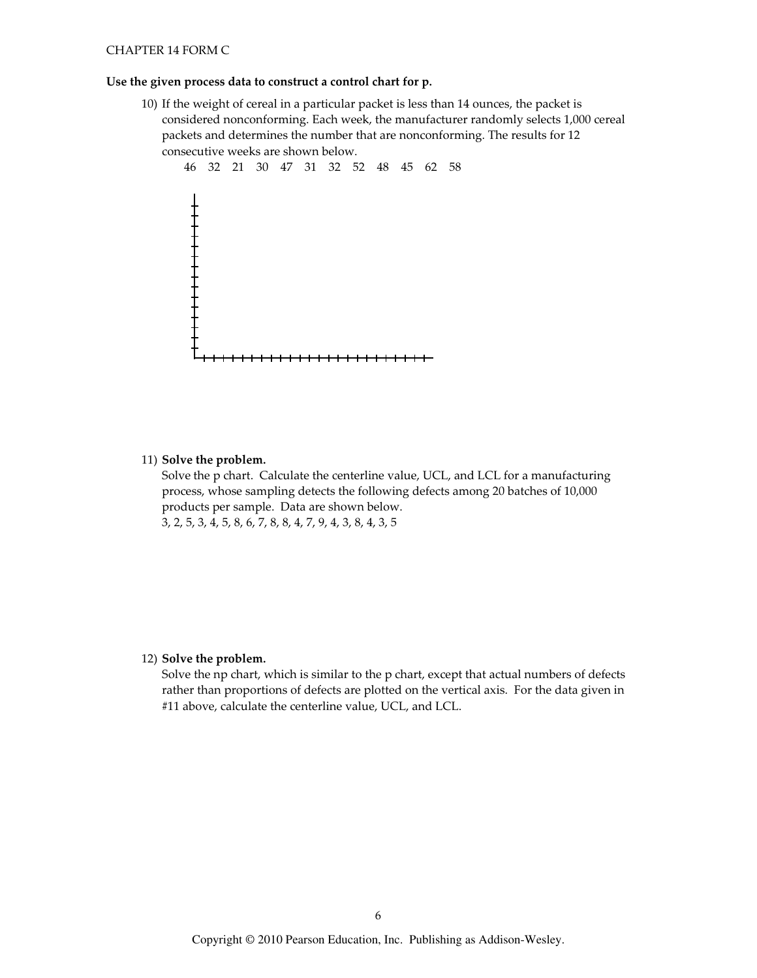#### CHAPTER 14 FORM C

#### Use the given process data to construct a control chart for p.

10) If the weight of cereal in a particular packet is less than 14 ounces, the packet is considered nonconforming. Each week, the manufacturer randomly selects 1,000 cereal packets and determines the number that are nonconforming. The results for 12 consecutive weeks are shown below.



#### 11) Solve the problem.

Solve the p chart. Calculate the centerline value, UCL, and LCL for a manufacturing process, whose sampling detects the following defects among 20 batches of 10,000 products per sample. Data are shown below. 3, 2, 5, 3, 4, 5, 8, 6, 7, 8, 8, 4, 7, 9, 4, 3, 8, 4, 3, 5

### 12) Solve the problem.

Solve the np chart, which is similar to the p chart, except that actual numbers of defects rather than proportions of defects are plotted on the vertical axis. For the data given in #11 above, calculate the centerline value, UCL, and LCL.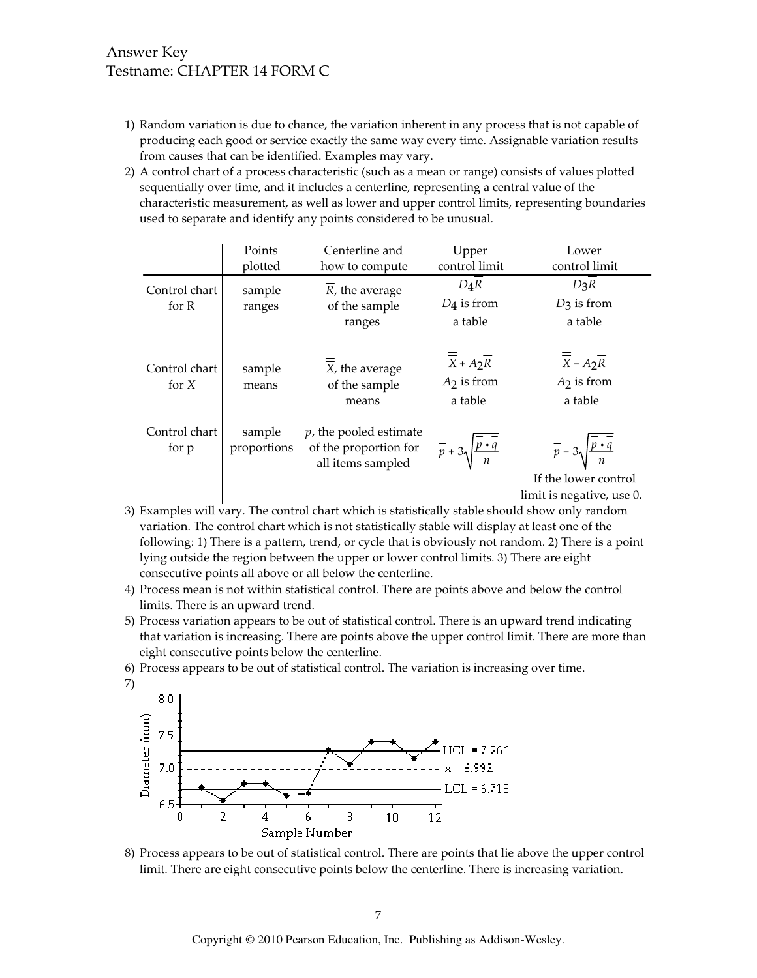# **Answer Key** Testname: CHAPTER 14 FORM C

- 1) Random variation is due to chance, the variation inherent in any process that is not capable of producing each good or service exactly the same way every time. Assignable variation results from causes that can be identified. Examples may vary.
- 2) A control chart of a process characteristic (such as a mean or range) consists of values plotted sequentially over time, and it includes a centerline, representing a central value of the characteristic measurement, as well as lower and upper control limits, representing boundaries used to separate and identify any points considered to be unusual.

|                                     | Points                | Centerline and                                                          | Upper                                                                    | Lower                                                                    |
|-------------------------------------|-----------------------|-------------------------------------------------------------------------|--------------------------------------------------------------------------|--------------------------------------------------------------------------|
|                                     | plotted               | how to compute                                                          | control limit                                                            | control limit                                                            |
| Control chart                       | sample                | R, the average                                                          | $D_4R$                                                                   | $D_3R$                                                                   |
| for $R$                             | ranges                | of the sample                                                           | $D_4$ is from                                                            | $D_3$ is from                                                            |
|                                     |                       | ranges                                                                  | a table                                                                  | a table                                                                  |
| Control chart<br>for $\overline{X}$ | sample<br>means       | X, the average<br>of the sample<br>means                                | $\overline{\overline{X}}$ + $A_2\overline{R}$<br>$A2$ is from<br>a table | $\overline{\overline{X}}$ – $A_2\overline{R}$<br>$A2$ is from<br>a table |
| Control chart<br>for p              | sample<br>proportions | $p$ , the pooled estimate<br>of the proportion for<br>all items sampled | $\overline{p}$ + 3 $\sqrt{\frac{p \cdot q}{n}}$                          | $\overline{p}$ – 3 $\sqrt{\frac{p \cdot q}{n}}$                          |
|                                     |                       |                                                                         |                                                                          | If the lower control                                                     |
|                                     |                       |                                                                         |                                                                          | limit is negative, use 0.                                                |

- 3) Examples will vary. The control chart which is statistically stable should show only random variation. The control chart which is not statistically stable will display at least one of the following: 1) There is a pattern, trend, or cycle that is obviously not random. 2) There is a point lying outside the region between the upper or lower control limits. 3) There are eight consecutive points all above or all below the centerline.
- 4) Process mean is not within statistical control. There are points above and below the control limits. There is an upward trend.
- 5) Process variation appears to be out of statistical control. There is an upward trend indicating that variation is increasing. There are points above the upper control limit. There are more than eight consecutive points below the centerline.
- 6) Process appears to be out of statistical control. The variation is increasing over time.



8) Process appears to be out of statistical control. There are points that lie above the upper control limit. There are eight consecutive points below the centerline. There is increasing variation.